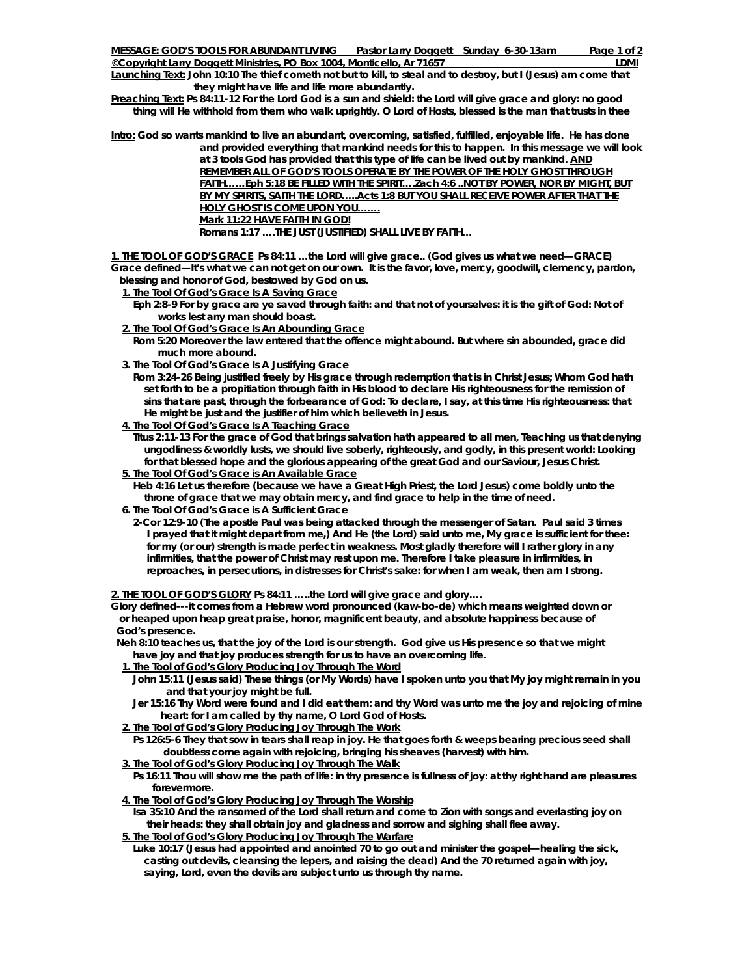**Launching Text: John 10:10 The thief cometh not but to kill, to steal and to destroy, but I (Jesus) am come that they might have life and life more abundantly.** 

**Preaching Text: Ps 84:11-12 For the Lord God is a sun and shield: the Lord will give grace and glory: no good thing will He withhold from them who walk uprightly. O Lord of Hosts, blessed is the man that trusts in thee** 

**Intro: God so wants mankind to live an abundant, overcoming, satisfied, fulfilled, enjoyable life. He has done and provided everything that mankind needs for this to happen. In this message we will look** 

**at 3 tools God has provided that this type of life can be lived out by mankind. AND REMEMBER ALL OF GOD'S TOOLS OPERATE BY THE POWER OF THE HOLY GHOST THROUGH FAITH……Eph 5:18 BE FILLED WITH THE SPIRIT….Zach 4:6 ..NOT BY POWER, NOR BY MIGHT, BUT BY MY SPIRITS, SAITH THE LORD…..Acts 1:8 BUT YOU SHALL RECEIVE POWER AFTER THAT THE HOLY GHOST IS COME UPON YOU... Mark 11:22 HAVE FAITH IN GOD! Romans 1:17 ….THE JUST (JUSTIFIED) SHALL LIVE BY FAITH…**

**1. THE TOOL OF GOD'S GRACE Ps 84:11 …the Lord will give grace.. (God gives us what we need—GRACE)**  *Grace defined—It's what we can not get on our own. It is the favor, love, mercy, goodwill, clemency, pardon, blessing and honor of God, bestowed by God on us.* 

 **1. The Tool Of God's Grace Is A Saving Grace**

- **Eph 2:8-9 For by grace are ye saved through faith: and that not of yourselves: it is the gift of God: Not of works lest any man should boast.**
- **2. The Tool Of God's Grace Is An Abounding Grace**

 **Rom 5:20 Moreover the law entered that the offence might abound. But where sin abounded, grace did much more abound.** 

 **3. The Tool Of God's Grace Is A Justifying Grace**

 **Rom 3:24-26 Being justified freely by His grace through redemption that is in Christ Jesus; Whom God hath set forth to be a propitiation through faith in His blood to declare His righteousness for the remission of sins that are past, through the forbearance of God: To declare, I say, at this time His righteousness: that He might be just and the justifier of him which believeth in Jesus.** 

 **4. The Tool Of God's Grace Is A Teaching Grace**

 **Titus 2:11-13 For the grace of God that brings salvation hath appeared to all men, Teaching us that denying ungodliness & worldly lusts, we should live soberly, righteously, and godly, in this present world: Looking for that blessed hope and the glorious appearing of the great God and our Saviour, Jesus Christ.** 

 **5. The Tool Of God's Grace is An Available Grace**

 **Heb 4:16 Let us therefore (because we have a Great High Priest, the Lord Jesus) come boldly unto the throne of grace that we may obtain mercy, and find grace to help in the time of need.** 

 **6. The Tool Of God's Grace is A Sufficient Grace**

 **2-Cor 12:9-10 (The apostle Paul was being attacked through the messenger of Satan. Paul said 3 times I prayed that it might depart from me,) And He (the Lord) said unto me, My grace is sufficient for thee: for my (or our) strength is made perfect in weakness. Most gladly therefore will I rather glory in any infirmities, that the power of Christ may rest upon me. Therefore I take pleasure in infirmities, in reproaches, in persecutions, in distresses for Christ's sake: for when I am weak, then am I strong.** 

**2. THE TOOL OF GOD'S GLORY Ps 84:11 …..the Lord will give grace and glory….** 

*Glory defined---it comes from a Hebrew word pronounced (kaw-bo-de) which means weighted down or or heaped upon heap great praise, honor, magnificent beauty, and absolute happiness because of God's presence.* 

 **Neh 8:10 teaches us, that the joy of the Lord is our strength. God give us His presence so that we might have joy and that joy produces strength for us to have an overcoming life.** 

- **1. The Tool of God's Glory Producing Joy Through The Word**
	- **John 15:11 (Jesus said) These things (or My Words) have I spoken unto you that My joy might remain in you and that your joy might be full.**
	- **Jer 15:16 Thy Word were found and I did eat them: and thy Word was unto me the joy and rejoicing of mine heart: for I am called by thy name, O Lord God of Hosts.**
- **2. The Tool of God's Glory Producing Joy Through The Work**

 **Ps 126:5-6 They that sow in tears shall reap in joy. He that goes forth & weeps bearing precious seed shall doubtless come again with rejoicing, bringing his sheaves (harvest) with him.** 

- **3. The Tool of God's Glory Producing Joy Through The Walk**
	- **Ps 16:11 Thou will show me the path of life: in thy presence is fullness of joy: at thy right hand are pleasures forevermore.**

 **4. The Tool of God's Glory Producing Joy Through The Worship**

 **Isa 35:10 And the ransomed of the Lord shall return and come to Zion with songs and everlasting joy on their heads: they shall obtain joy and gladness and sorrow and sighing shall flee away. 5. The Tool of God's Glory Producing Joy Through The Warfare**

 **Luke 10:17 (Jesus had appointed and anointed 70 to go out and minister the gospel—healing the sick, casting out devils, cleansing the lepers, and raising the dead) And the 70 returned again with joy, saying, Lord, even the devils are subject unto us through thy name.**